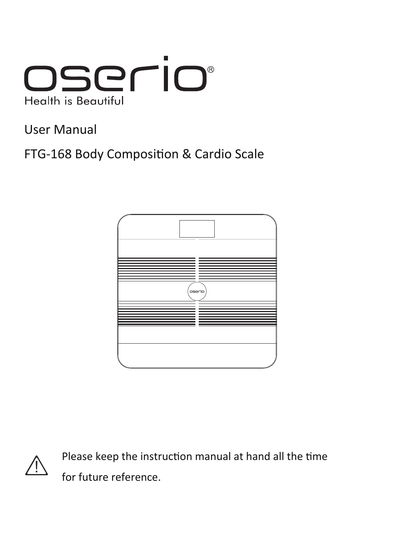

User Manual

FTG-168 Body Composition & Cardio Scale





Please keep the instruction manual at hand all the time for future reference.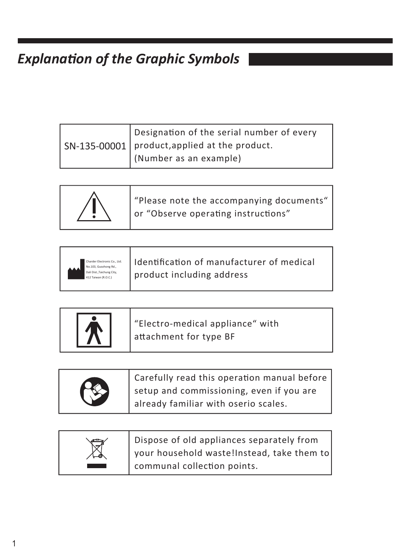## *Explanation of the Graphic Symbols*

| Designation of the serial number of every                     |
|---------------------------------------------------------------|
| $\vert$ SN-135-00001 $\vert$ product, applied at the product. |
| (Number as an example)                                        |



| Charder Electronic Co., Ltd.<br>No.103, Guozhong Rd.,<br>Dali Dist., Taichung City.<br>412 Taiwan (R.O.C.) | Identification of manufacturer of medical<br>product including address |
|------------------------------------------------------------------------------------------------------------|------------------------------------------------------------------------|
|                                                                                                            |                                                                        |

|  | "Electro-medical appliance" with<br>attachment for type BF |
|--|------------------------------------------------------------|
|--|------------------------------------------------------------|

|   | Carefully read this operation manual before |
|---|---------------------------------------------|
| B | setup and commissioning, even if you are    |
|   | already familiar with oserio scales.        |

| Dispose of old appliances separately from  |
|--------------------------------------------|
| your household waste!Instead, take them to |
| communal collection points.                |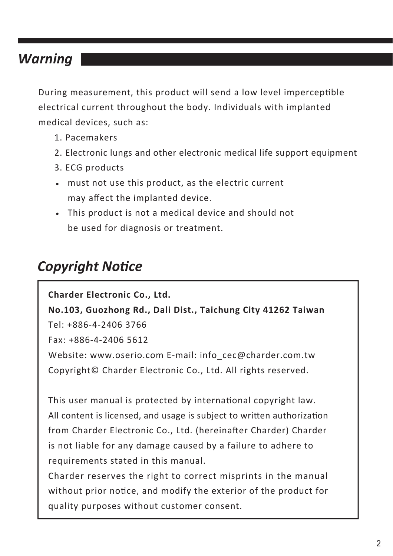## *Warning*

During measurement, this product will send a low level imperceptible electrical current throughout the body. Individuals with implanted medical devices, such as:

- 1. Pacemakers
- 2. Electronic lungs and other electronic medical life support equipment
- 3. ECG products
- must not use this product, as the electric current may affect the implanted device.
- This product is not a medical device and should not be used for diagnosis or treatment.

### *Copyright Notice*

**Charder Electronic Co., Ltd. No.103, Guozhong Rd., Dali Dist., Taichung City 41262 Taiwan** Tel: +886-4-2406 3766 Fax: +886-4-2406 5612 Website: www.oserio.com E-mail: info\_cec@charder.com.tw Copyright© Charder Electronic Co., Ltd. All rights reserved.

This user manual is protected by international copyright law. All content is licensed, and usage is subject to written authorization from Charder Electronic Co., Ltd. (hereinafter Charder) Charder is not liable for any damage caused by a failure to adhere to requirements stated in this manual.

Charder reserves the right to correct misprints in the manual without prior notice, and modify the exterior of the product for quality purposes without customer consent.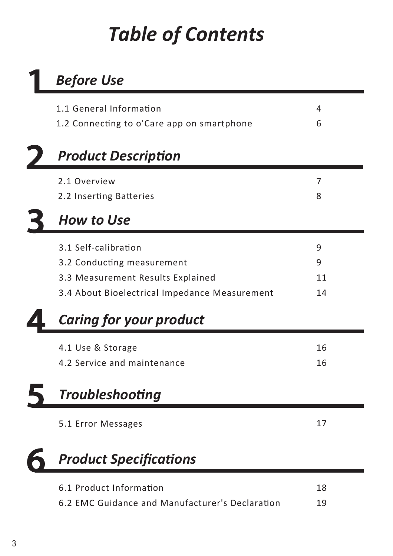# *Table of Contents*

# *Before Use*

| 1.1 General Information                         | 4  |  |
|-------------------------------------------------|----|--|
| 1.2 Connecting to o'Care app on smartphone      | 6  |  |
|                                                 |    |  |
| <b>Product Description</b>                      |    |  |
| 2.1 Overview                                    | 7  |  |
| 2.2 Inserting Batteries                         | 8  |  |
| <b>How to Use</b>                               |    |  |
| 3.1 Self-calibration                            | 9  |  |
| 3.2 Conducting measurement                      | 9  |  |
| 3.3 Measurement Results Explained               | 11 |  |
| 3.4 About Bioelectrical Impedance Measurement   | 14 |  |
| <b>Caring for your product</b>                  |    |  |
| 4.1 Use & Storage                               | 16 |  |
| 4.2 Service and maintenance                     | 16 |  |
| <b>Troubleshooting</b>                          |    |  |
| 5.1 Error Messages                              | 17 |  |
| <b>Product Specifications</b>                   |    |  |
| 6.1 Product Information                         | 18 |  |
| 6.2 EMC Guidance and Manufacturer's Declaration | 19 |  |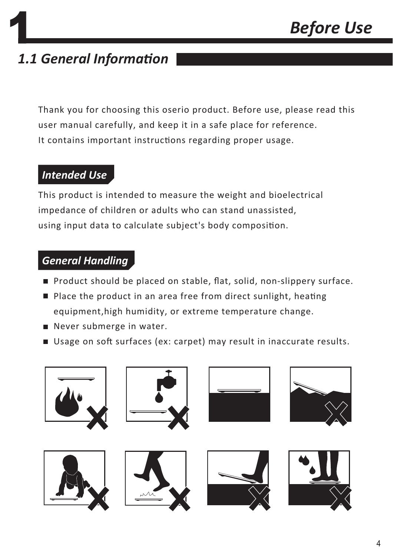## *1.1 General Information*

Thank you for choosing this oserio product. Before use, please read this user manual carefully, and keep it in a safe place for reference. It contains important instructions regarding proper usage.

#### *Intended Use*

This product is intended to measure the weight and bioelectrical impedance of children or adults who can stand unassisted, using input data to calculate subject's body composition.

#### *General Handling*

- Product should be placed on stable, flat, solid, non-slippery surface.
- Place the product in an area free from direct sunlight, heating equipment,high humidity, or extreme temperature change.
- Never submerge in water.
- Usage on soft surfaces (ex: carpet) may result in inaccurate results.

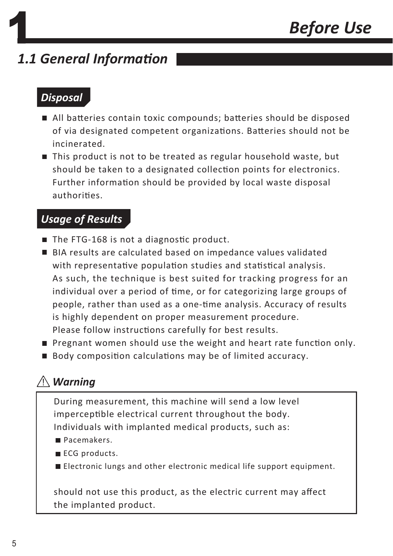## *1.1 General Information*

#### *Disposal*

- All batteries contain toxic compounds; batteries should be disposed of via designated competent organizations. Batteries should not be incinerated.
- This product is not to be treated as regular household waste, but should be taken to a designated collection points for electronics. Further information should be provided by local waste disposal authorities.

#### *Usage of Results*

- The FTG-168 is not a diagnostic product.
- BIA results are calculated based on impedance values validated with representative population studies and statistical analysis. As such, the technique is best suited for tracking progress for an individual over a period of time, or for categorizing large groups of people, rather than used as a one-time analysis. Accuracy of results is highly dependent on proper measurement procedure. Please follow instructions carefully for best results.
- **Pregnant women should use the weight and heart rate function only.**
- Body composition calculations may be of limited accuracy.

### *Warning*

During measurement, this machine will send a low level imperceptible electrical current throughout the body. Individuals with implanted medical products, such as:

- Pacemakers.
- ECG products.
- Electronic lungs and other electronic medical life support equipment.

should not use this product, as the electric current may affect the implanted product.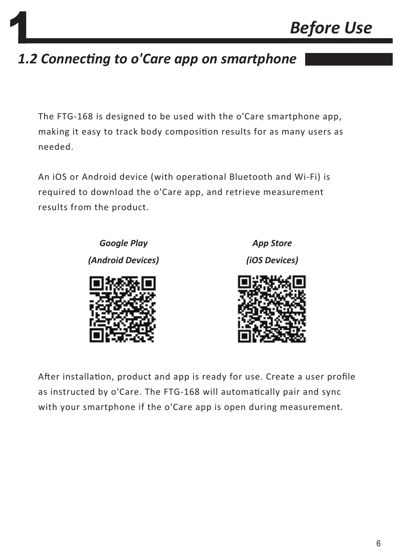## *1.2 Connecting to o'Care app on smartphone*

The FTG-168 is designed to be used with the o'Care smartphone app, making it easy to track body composition results for as many users as needed.

An iOS or Android device (with operational Bluetooth and Wi-Fi) is required to download the o'Care app, and retrieve measurement results from the product.

> *Google Play (Android Devices)*

*App Store (iOS Devices)*



After installation, product and app is ready for use. Create a user profile as instructed by o'Care. The FTG-168 will automatically pair and sync with your smartphone if the o'Care app is open during measurement.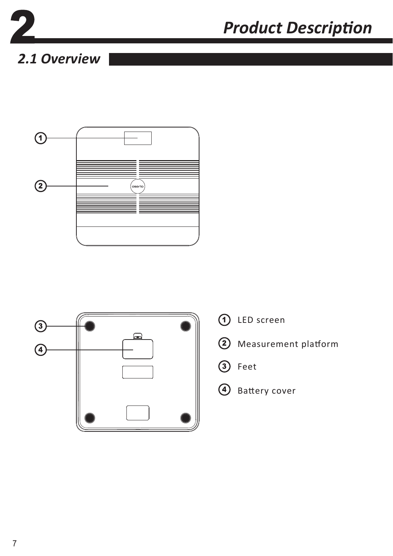

# *Product Description*

## *2.1 Overview*



![](_page_7_Figure_4.jpeg)

- LED screen
- Measurement platform
- 3 Feet
- 4 Battery cover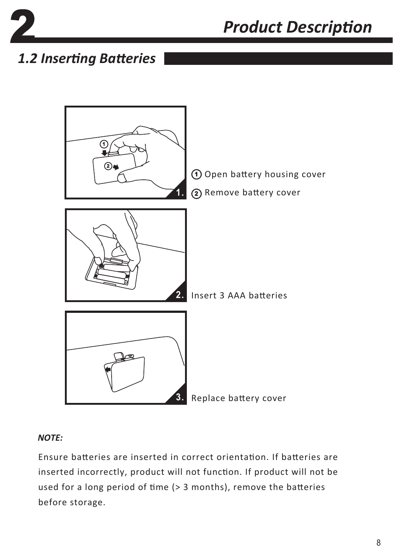![](_page_8_Picture_0.jpeg)

*Product Description*

## *1.2 Inserting Batteries*

![](_page_8_Figure_3.jpeg)

#### *NOTE:*

Ensure batteries are inserted in correct orientation. If batteries are inserted incorrectly, product will not function. If product will not be used for a long period of time (> 3 months), remove the batteries before storage.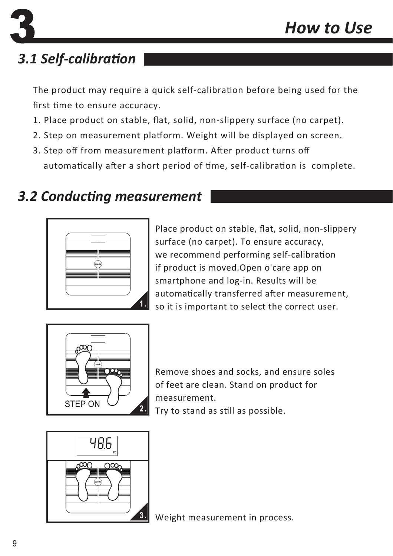## *3.1 Self-calibration*

The product may require a quick self-calibration before being used for the first time to ensure accuracy.

- 1. Place product on stable, flat, solid, non-slippery surface (no carpet).
- 2. Step on measurement platform. Weight will be displayed on screen.
- 3. Step off from measurement platform. After product turns off automatically after a short period of time, self-calibration is complete.

## *3.2 Conducting measurement*

![](_page_9_Picture_7.jpeg)

Place product on stable, flat, solid, non-slippery surface (no carpet). To ensure accuracy, we recommend performing self-calibration if product is moved.Open o'care app on smartphone and log-in. Results will be automatically transferred after measurement, so it is important to select the correct user. **1.**

![](_page_9_Picture_9.jpeg)

Remove shoes and socks, and ensure soles of feet are clean. Stand on product for measurement. Try to stand as still as possible.

![](_page_9_Figure_11.jpeg)

Weight measurement in process.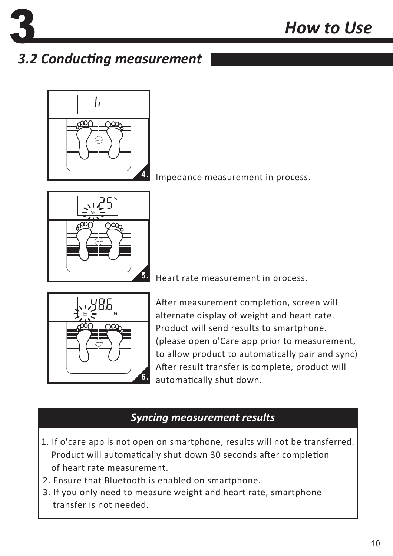![](_page_10_Picture_0.jpeg)

## *3.2 Conducting measurement*

![](_page_10_Picture_3.jpeg)

4. Impedance measurement in process.

![](_page_10_Figure_5.jpeg)

5. Heart rate measurement in process.

![](_page_10_Figure_7.jpeg)

After measurement completion, screen will alternate display of weight and heart rate. Product will send results to smartphone. (please open o'Care app prior to measurement, to allow product to automatically pair and sync) After result transfer is complete, product will automatically shut down.

#### *Syncing measurement results*

- 1. If o'care app is not open on smartphone, results will not be transferred. Product will automatically shut down 30 seconds after completion of heart rate measurement.
- 2. Ensure that Bluetooth is enabled on smartphone.
- 3. If you only need to measure weight and heart rate, smartphone transfer is not needed.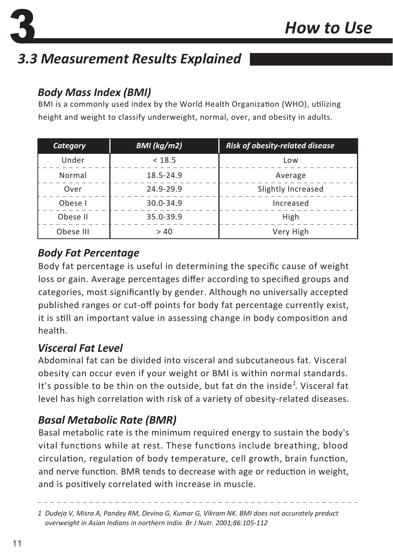![](_page_11_Picture_1.jpeg)

## *3.3 Measurement Results Explained*

#### *Body Mass Index (BMI)*

BMI is a commonly used index by the World Health Organization (WHO), utilizing height and weight to classify underweight, normal, over, and obesity in adults.

| Category  | BMI (kg/m2)   | <b>Risk of obesity-related disease</b> |
|-----------|---------------|----------------------------------------|
| Under     | < 18.5        | Low                                    |
| Normal    | 18.5-24.9     | Average                                |
| Over      | 24.9-29.9     | Slightly Increased                     |
| Obese I   | $30.0 - 34.9$ | Increased                              |
| Obese II  | 35.0-39.9     | High                                   |
| Obese III | > 40          | Very High                              |

#### *Body Fat Percentage*

Body fat percentage is useful in determining the specific cause of weight loss or gain. Average percentages differ according to specified groups and categories, most significantly by gender. Although no universally accepted published ranges or cut-off points for body fat percentage currently exist, it is still an important value in assessing change in body composition and health.

#### *Visceral Fat Level*

Abdominal fat can be divided into visceral and subcutaneous fat. Visceral obesity can occur even if your weight or BMI is within normal standards. It's possible to be thin on the outside, but fat dn the inside<sup>1</sup>. Visceral fat level has high correlation with risk of a variety of obesity-related diseases.

#### *Basal Metabolic Rate (BMR)*

Basal metabolic rate is the minimum required energy to sustain the body's vital functions while at rest. These functions include breathing, blood circulation, regulation of body temperature, cell growth, brain function, and nerve function. BMR tends to decrease with age or reduction in weight, and is positively correlated with increase in muscle.

*Dudeja V, Misra A, Pandey RM, Devina G, Kumar G, Vikram NK. BMI does not accurately preduct 1 overweight in Asian Indians in northern India. Br J Nutr. 2001;86:105-112*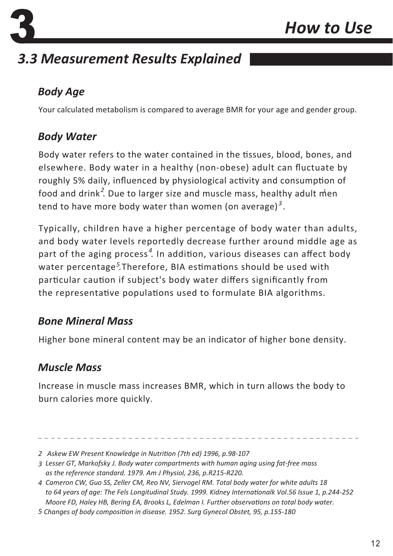![](_page_12_Picture_0.jpeg)

## *3.3 Measurement Results Explained*

#### *Body Age*

Your calculated metabolism is compared to average BMR for your age and gender group.

#### *Body Water*

Body water refers to the water contained in the tissues, blood, bones, and elsewhere. Body water in a healthy (non-obese) adult can fluctuate by roughly 5% daily, influenced by physiological activity and consumption of food and drink<sup>2</sup>. Due to larger size and muscle mass, healthy adult men tend to have more body water than women (on average)<sup>3</sup>.

Typically, children have a higher percentage of body water than adults, and body water levels reportedly decrease further around middle age as part of the aging process<sup>4</sup>. In addition, various diseases can affect body water percentage<sup>5</sup>.Therefore, BIA estimations should be used with particular caution if subject's body water differs significantly from the representative populations used to formulate BIA algorithms.

#### *Bone Mineral Mass*

Higher bone mineral content may be an indicator of higher bone density.

#### *Muscle Mass*

Increase in muscle mass increases BMR, which in turn allows the body to burn calories more quickly.

*Askew EW Present Knowledge in Nutrition (7th ed) 1996, p.98-107 2*

*Lesser GT, Markofsky J. Body water compartments with human aging using fat-free mass 3 as the reference standard. 1979. Am J Physiol, 236, p.R215-R220.*

*Cameron CW, Guo SS, Zeller CM, Reo NV, Siervogel RM. Total body water for white adults 18 4 to 64 years of age: The Fels Longitudinal Study. 1999. Kidney Internationalk Vol.56 Issue 1, p.244-252 Moore FD, Haley HB, Bering EA, Brooks L, Edelman I. Further observations on total body water.* 

*Changes of body composition in disease. 1952. Surg Gynecol Obstet, 95, p.155-180 5*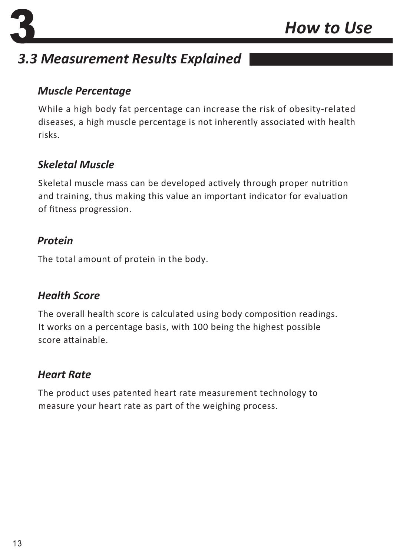![](_page_13_Picture_0.jpeg)

![](_page_13_Picture_1.jpeg)

## *3.3 Measurement Results Explained*

#### *Muscle Percentage*

While a high body fat percentage can increase the risk of obesity-related diseases, a high muscle percentage is not inherently associated with health risks.

#### *Skeletal Muscle*

Skeletal muscle mass can be developed actively through proper nutrition and training, thus making this value an important indicator for evaluation of fitness progression.

#### *Protein*

The total amount of protein in the body.

#### *Health Score*

The overall health score is calculated using body composition readings. It works on a percentage basis, with 100 being the highest possible score attainable.

#### *Heart Rate*

The product uses patented heart rate measurement technology to measure your heart rate as part of the weighing process.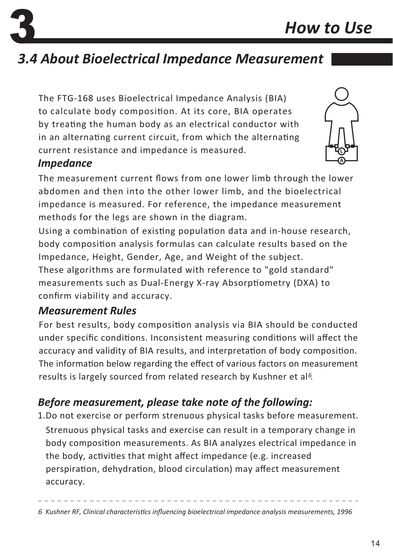# *3.4 About Bioelectrical Impedance Measurement*

The FTG-168 uses Bioelectrical Impedance Analysis (BIA) to calculate body composition. At its core, BIA operates by treating the human body as an electrical conductor with in an alternating current circuit, from which the alternating current resistance and impedance is measured.

#### *Impedance*

The measurement current flows from one lower limb through the lower abdomen and then into the other lower limb, and the bioelectrical impedance is measured. For reference, the impedance measurement methods for the legs are shown in the diagram.

Using a combination of existing population data and in-house research, body composition analysis formulas can calculate results based on the Impedance, Height, Gender, Age, and Weight of the subject.

These algorithms are formulated with reference to "gold standard" measurements such as Dual-Energy X-ray Absorptiometry (DXA) to confirm viability and accuracy.

#### *Measurement Rules*

For best results, body composition analysis via BIA should be conducted under specific conditions. Inconsistent measuring conditions will affect the accuracy and validity of BIA results, and interpretation of body composition. The information below regarding the effect of various factors on measurement results is largely sourced from related research by Kushner et al<sup>6</sup>.

## *Before measurement, please take note of the following:*

1.Do not exercise or perform strenuous physical tasks before measurement. Strenuous physical tasks and exercise can result in a temporary change in body composition measurements. As BIA analyzes electrical impedance in the body, activities that might affect impedance (e.g. increased perspiration, dehydration, blood circulation) may affect measurement accuracy.

*6 Kushner RF, Clinical characteristics influencing bioelectrical impedance analysis measurements, 1996*

![](_page_14_Picture_14.jpeg)

![](_page_14_Picture_15.jpeg)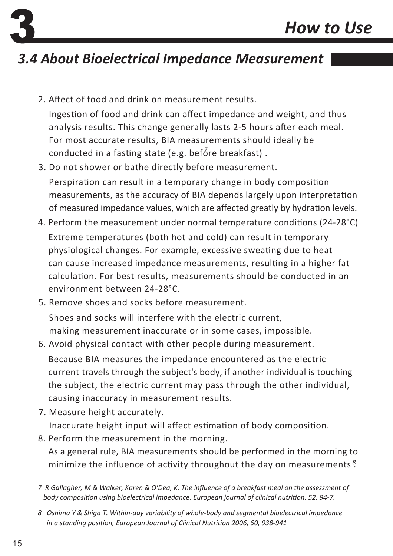## *3.4 About Bioelectrical Impedance Measurement*

- 2. Affect of food and drink on measurement results. Ingestion of food and drink can affect impedance and weight, and thus analysis results. This change generally lasts 2-5 hours after each meal. For most accurate results, BIA measurements should ideally be conducted in a fasting state (e.g. before breakfast).
- 3. Do not shower or bathe directly before measurement. Perspiration can result in a temporary change in body composition measurements, as the accuracy of BIA depends largely upon interpretation of measured impedance values, which are affected greatly by hydration levels.
- 4. Perform the measurement under normal temperature conditions (24-28°C) Extreme temperatures (both hot and cold) can result in temporary physiological changes. For example, excessive sweating due to heat can cause increased impedance measurements, resulting in a higher fat calculation. For best results, measurements should be conducted in an environment between 24-28°C.
- 5. Remove shoes and socks before measurement.

Shoes and socks will interfere with the electric current, making measurement inaccurate or in some cases, impossible.

- 6. Avoid physical contact with other people during measurement. Because BIA measures the impedance encountered as the electric current travels through the subject's body, if another individual is touching the subject, the electric current may pass through the other individual, causing inaccuracy in measurement results.
- 7. Measure height accurately. Inaccurate height input will affect estimation of body composition.
- 8. Perform the measurement in the morning.

As a general rule, BIA measurements should be performed in the morning to minimize the influence of activity throughout the day on measurements<sup>8</sup>

*R Gallagher, M & Walker, Karen & O'Dea, K. The influence of a breakfast meal on the assessment of 7 body composition using bioelectrical impedance. European journal of clinical nutrition. 52. 94-7.*

*Oshima Y & Shiga T. Within-day variability of whole-body and segmental bioelectrical impedance 8 in a standing position, European Journal of Clinical Nutrition 2006, 60, 938-941*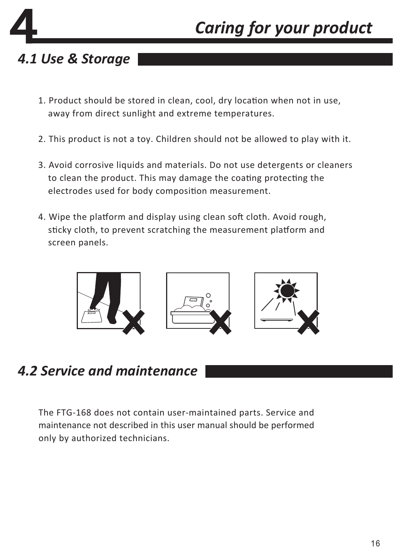# *Caring for your product*

## *4.1 Use & Storage*

- 1. Product should be stored in clean, cool, dry location when not in use, away from direct sunlight and extreme temperatures.
- 2. This product is not a toy. Children should not be allowed to play with it.
- 3. Avoid corrosive liquids and materials. Do not use detergents or cleaners to clean the product. This may damage the coating protecting the electrodes used for body composition measurement.
- 4. Wipe the platform and display using clean soft cloth. Avoid rough, sticky cloth, to prevent scratching the measurement platform and screen panels.

![](_page_16_Picture_6.jpeg)

## *4.2 Service and maintenance*

The FTG-168 does not contain user-maintained parts. Service and maintenance not described in this user manual should be performed only by authorized technicians.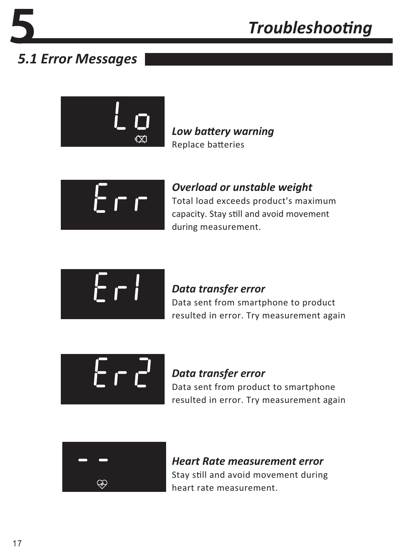## *5.1 Error Messages*

![](_page_17_Figure_3.jpeg)

*Low battery warning* Replace batteries

 $\Gamma$   $\Gamma$ 

*Overload or unstable weight* Total load exceeds product's maximum capacity. Stay still and avoid movement during measurement.

![](_page_17_Picture_7.jpeg)

#### *Data transfer error*

Data sent from smartphone to product resulted in error. Try measurement again

![](_page_17_Picture_10.jpeg)

#### *Data transfer error* Data sent from product to smartphone resulted in error. Try measurement again

![](_page_17_Picture_12.jpeg)

*Heart Rate measurement error* Stay still and avoid movement during heart rate measurement.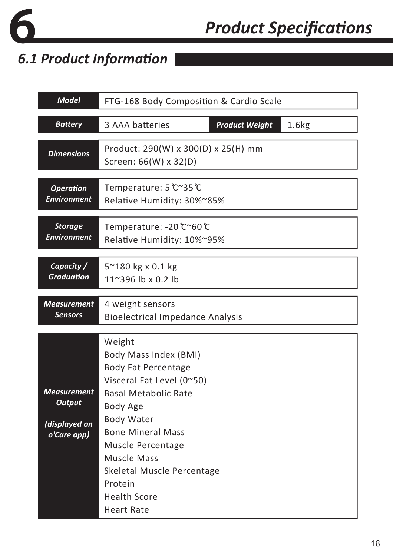![](_page_18_Picture_0.jpeg)

# *Product Specifications*

## *6.1 Product Information*

| <b>Model</b>                                                        | FTG-168 Body Composition & Cardio Scale                                                                                                                                                                                                                                                    |  |  |
|---------------------------------------------------------------------|--------------------------------------------------------------------------------------------------------------------------------------------------------------------------------------------------------------------------------------------------------------------------------------------|--|--|
| <b>Battery</b>                                                      | 1.6kg<br>3 AAA batteries<br><b>Product Weight</b>                                                                                                                                                                                                                                          |  |  |
| <b>Dimensions</b>                                                   | Product: 290(W) x 300(D) x 25(H) mm<br>Screen: 66(W) x 32(D)                                                                                                                                                                                                                               |  |  |
| <b>Operation</b>                                                    | Temperature: 5 ℃~35 ℃                                                                                                                                                                                                                                                                      |  |  |
| <b>Environment</b>                                                  | Relative Humidity: 30%~85%                                                                                                                                                                                                                                                                 |  |  |
| <b>Storage</b>                                                      | Temperature: -20 ℃~60 ℃                                                                                                                                                                                                                                                                    |  |  |
| <b>Environment</b>                                                  | Relative Humidity: 10%~95%                                                                                                                                                                                                                                                                 |  |  |
| Capacity /                                                          | 5~180 kg x 0.1 kg                                                                                                                                                                                                                                                                          |  |  |
| <b>Graduation</b>                                                   | 11~396 lb x 0.2 lb                                                                                                                                                                                                                                                                         |  |  |
| <b>Measurement</b>                                                  | 4 weight sensors                                                                                                                                                                                                                                                                           |  |  |
| <b>Sensors</b>                                                      | <b>Bioelectrical Impedance Analysis</b>                                                                                                                                                                                                                                                    |  |  |
| <b>Measurement</b><br><b>Output</b><br>(displayed on<br>o'Care app) | Weight<br>Body Mass Index (BMI)<br><b>Body Fat Percentage</b><br>Visceral Fat Level (0~50)<br>Basal Metabolic Rate<br>Body Age<br><b>Body Water</b><br><b>Bone Mineral Mass</b><br>Muscle Percentage<br>Muscle Mass<br>Skeletal Muscle Percentage<br>Protein<br>Health Score<br>Heart Rate |  |  |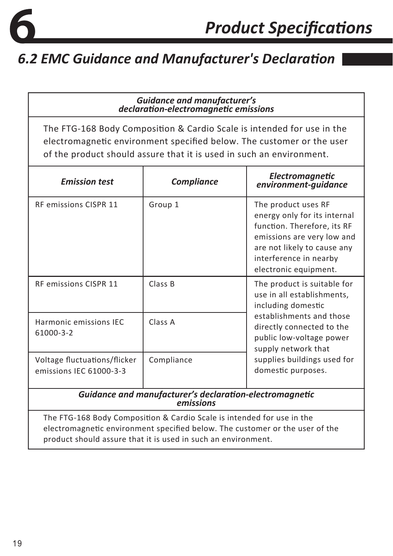![](_page_19_Picture_0.jpeg)

#### *Guidance and manufacturer's declaration-electromagnetic emissions*

The FTG-168 Body Composition & Cardio Scale is intended for use in the electromagnetic environment specified below. The customer or the user of the product should assure that it is used in such an environment.

| <b>Emission test</b>                                                                                                                                   | <b>Compliance</b> | <b>Electromagnetic</b><br>environment-quidance                                                                                                                                                                                                   |  |
|--------------------------------------------------------------------------------------------------------------------------------------------------------|-------------------|--------------------------------------------------------------------------------------------------------------------------------------------------------------------------------------------------------------------------------------------------|--|
| <b>RF emissions CISPR 11</b>                                                                                                                           | Group 1           | The product uses RF<br>energy only for its internal<br>function. Therefore, its RF<br>emissions are very low and<br>are not likely to cause any<br>interference in nearby<br>electronic equipment.                                               |  |
| <b>RF emissions CISPR 11</b>                                                                                                                           | Class B           | The product is suitable for<br>use in all establishments,<br>including domestic<br>establishments and those<br>directly connected to the<br>public low-voltage power<br>supply network that<br>supplies buildings used for<br>domestic purposes. |  |
| Harmonic emissions IEC<br>61000-3-2                                                                                                                    | Class A           |                                                                                                                                                                                                                                                  |  |
| Voltage fluctuations/flicker<br>emissions IEC 61000-3-3                                                                                                | Compliance        |                                                                                                                                                                                                                                                  |  |
| Guidance and manufacturer's declaration-electromagnetic<br>emissions                                                                                   |                   |                                                                                                                                                                                                                                                  |  |
| The FTG-168 Body Composition & Cardio Scale is intended for use in the<br>electromagnetic environment specified below. The customer or the user of the |                   |                                                                                                                                                                                                                                                  |  |

product should assure that it is used in such an environment.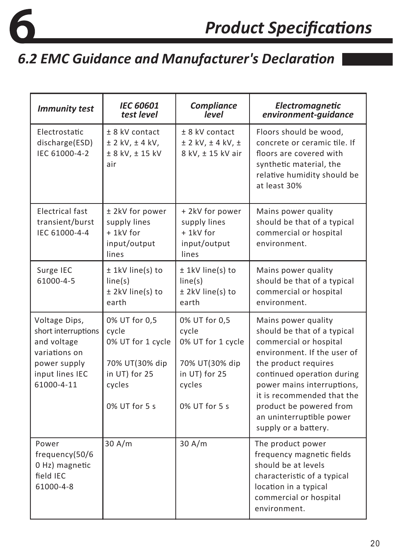![](_page_20_Picture_0.jpeg)

| <b>Immunity test</b>                                                                                                  | <b>IEC 60601</b><br>test level                                                                            | Compliance<br>level                                                                                       | Electromagnetic<br>environment-quidance                                                                                                                                                                                                                                                                      |  |
|-----------------------------------------------------------------------------------------------------------------------|-----------------------------------------------------------------------------------------------------------|-----------------------------------------------------------------------------------------------------------|--------------------------------------------------------------------------------------------------------------------------------------------------------------------------------------------------------------------------------------------------------------------------------------------------------------|--|
| Electrostatic<br>discharge(ESD)<br>IEC 61000-4-2                                                                      | $± 8$ kV contact<br>$±$ 2 kV, $±$ 4 kV,<br>± 8 kV, ± 15 kV<br>air                                         | $± 8$ kV contact<br>$± 2$ kV, $± 4$ kV, $±$<br>8 kV, ± 15 kV air                                          | Floors should be wood,<br>concrete or ceramic tile. If<br>floors are covered with<br>synthetic material, the<br>relative humidity should be<br>at least 30%                                                                                                                                                  |  |
| Electrical fast<br>transient/burst<br>IEC 61000-4-4                                                                   | ± 2kV for power<br>supply lines<br>$+ 1$ kV for<br>input/output<br>lines                                  | +2kV for power<br>supply lines<br>$+ 1kV$ for<br>input/output<br>lines                                    | Mains power quality<br>should be that of a typical<br>commercial or hospital<br>environment.                                                                                                                                                                                                                 |  |
| Surge IEC<br>61000-4-5                                                                                                | ± 1kV line(s) to<br>line(s)<br>± 2kV line(s) to<br>earth                                                  | ± 1kV line(s) to<br>line(s)<br>± 2kV line(s) to<br>earth                                                  | Mains power quality<br>should be that of a typical<br>commercial or hospital<br>environment.                                                                                                                                                                                                                 |  |
| Voltage Dips,<br>short interruptions<br>and voltage<br>variations on<br>power supply<br>input lines IEC<br>61000-4-11 | 0% UT for 0,5<br>cycle<br>0% UT for 1 cycle<br>70% UT(30% dip<br>in UT) for 25<br>cycles<br>0% UT for 5 s | 0% UT for 0,5<br>cycle<br>0% UT for 1 cycle<br>70% UT(30% dip<br>in UT) for 25<br>cycles<br>0% UT for 5 s | Mains power quality<br>should be that of a typical<br>commercial or hospital<br>environment. If the user of<br>the product requires<br>continued operation during<br>power mains interruptions,<br>it is recommended that the<br>product be powered from<br>an uninterruptible power<br>supply or a battery. |  |
| Power<br>frequency(50/6<br>0 Hz) magnetic<br>field IEC<br>61000-4-8                                                   | 30 A/m                                                                                                    | 30 A/m                                                                                                    | The product power<br>frequency magnetic fields<br>should be at levels<br>characteristic of a typical<br>location in a typical<br>commercial or hospital<br>environment.                                                                                                                                      |  |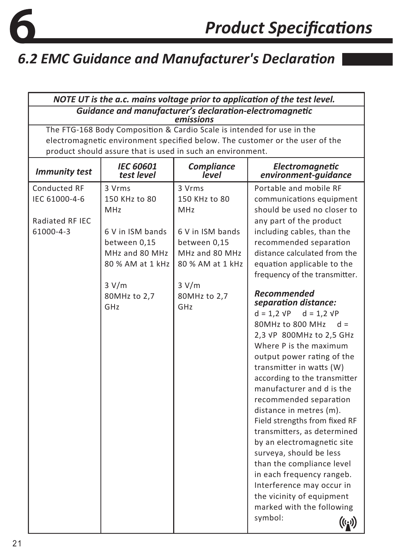![](_page_21_Picture_0.jpeg)

| Guidance and manufacturer's declaration-electromagnetic<br>emissions<br>The FTG-168 Body Composition & Cardio Scale is intended for use in the<br>electromagnetic environment specified below. The customer or the user of the<br>product should assure that is used in such an environment.<br><b>IEC 60601</b><br><b>Compliance</b><br>Electromagnetic<br><b>Immunity test</b><br>test level<br>level<br>environment-quidance<br>Conducted RF<br>3 Vrms<br>Portable and mobile RF<br>3 Vrms<br>IEC 61000-4-6<br>150 KHz to 80<br>150 KHz to 80<br>communications equipment<br>should be used no closer to<br><b>MHz</b><br><b>MHz</b><br>Radiated RF IEC<br>any part of the product<br>61000-4-3<br>6 V in ISM bands<br>6 V in ISM bands<br>including cables, than the<br>recommended separation<br>between 0,15<br>between 0,15<br>MHz and 80 MHz<br>MHz and 80 MHz<br>distance calculated from the<br>80 % AM at 1 kHz<br>80 % AM at 1 kHz<br>equation applicable to the<br>frequency of the transmitter.<br>3 V/m<br>3 V/m<br><b>Recommended</b><br>80MHz to 2,7<br>80MHz to 2,7<br>separation distance:<br>GHz<br>GHz<br>$d = 1,2 \text{ VP}$<br>$d = 1.2 VP$<br>80MHz to 800 MHz $d =$<br>2,3 VP 800MHz to 2,5 GHz<br>Where P is the maximum<br>output power rating of the<br>transmitter in watts (W)<br>according to the transmitter<br>manufacturer and d is the<br>recommended separation<br>distance in metres (m).<br>Field strengths from fixed RF<br>transmitters, as determined<br>by an electromagnetic site<br>surveya, should be less<br>than the compliance level<br>in each frequency rangeb.<br>Interference may occur in<br>the vicinity of equipment<br>marked with the following<br>symbol: | NOTE UT is the a.c. mains voltage prior to application of the test level. |  |                      |  |  |
|----------------------------------------------------------------------------------------------------------------------------------------------------------------------------------------------------------------------------------------------------------------------------------------------------------------------------------------------------------------------------------------------------------------------------------------------------------------------------------------------------------------------------------------------------------------------------------------------------------------------------------------------------------------------------------------------------------------------------------------------------------------------------------------------------------------------------------------------------------------------------------------------------------------------------------------------------------------------------------------------------------------------------------------------------------------------------------------------------------------------------------------------------------------------------------------------------------------------------------------------------------------------------------------------------------------------------------------------------------------------------------------------------------------------------------------------------------------------------------------------------------------------------------------------------------------------------------------------------------------------------------------------------------------------------------------------------------------------|---------------------------------------------------------------------------|--|----------------------|--|--|
|                                                                                                                                                                                                                                                                                                                                                                                                                                                                                                                                                                                                                                                                                                                                                                                                                                                                                                                                                                                                                                                                                                                                                                                                                                                                                                                                                                                                                                                                                                                                                                                                                                                                                                                      |                                                                           |  |                      |  |  |
|                                                                                                                                                                                                                                                                                                                                                                                                                                                                                                                                                                                                                                                                                                                                                                                                                                                                                                                                                                                                                                                                                                                                                                                                                                                                                                                                                                                                                                                                                                                                                                                                                                                                                                                      |                                                                           |  |                      |  |  |
|                                                                                                                                                                                                                                                                                                                                                                                                                                                                                                                                                                                                                                                                                                                                                                                                                                                                                                                                                                                                                                                                                                                                                                                                                                                                                                                                                                                                                                                                                                                                                                                                                                                                                                                      |                                                                           |  |                      |  |  |
|                                                                                                                                                                                                                                                                                                                                                                                                                                                                                                                                                                                                                                                                                                                                                                                                                                                                                                                                                                                                                                                                                                                                                                                                                                                                                                                                                                                                                                                                                                                                                                                                                                                                                                                      |                                                                           |  |                      |  |  |
|                                                                                                                                                                                                                                                                                                                                                                                                                                                                                                                                                                                                                                                                                                                                                                                                                                                                                                                                                                                                                                                                                                                                                                                                                                                                                                                                                                                                                                                                                                                                                                                                                                                                                                                      |                                                                           |  |                      |  |  |
|                                                                                                                                                                                                                                                                                                                                                                                                                                                                                                                                                                                                                                                                                                                                                                                                                                                                                                                                                                                                                                                                                                                                                                                                                                                                                                                                                                                                                                                                                                                                                                                                                                                                                                                      |                                                                           |  |                      |  |  |
|                                                                                                                                                                                                                                                                                                                                                                                                                                                                                                                                                                                                                                                                                                                                                                                                                                                                                                                                                                                                                                                                                                                                                                                                                                                                                                                                                                                                                                                                                                                                                                                                                                                                                                                      |                                                                           |  |                      |  |  |
|                                                                                                                                                                                                                                                                                                                                                                                                                                                                                                                                                                                                                                                                                                                                                                                                                                                                                                                                                                                                                                                                                                                                                                                                                                                                                                                                                                                                                                                                                                                                                                                                                                                                                                                      |                                                                           |  |                      |  |  |
|                                                                                                                                                                                                                                                                                                                                                                                                                                                                                                                                                                                                                                                                                                                                                                                                                                                                                                                                                                                                                                                                                                                                                                                                                                                                                                                                                                                                                                                                                                                                                                                                                                                                                                                      |                                                                           |  |                      |  |  |
|                                                                                                                                                                                                                                                                                                                                                                                                                                                                                                                                                                                                                                                                                                                                                                                                                                                                                                                                                                                                                                                                                                                                                                                                                                                                                                                                                                                                                                                                                                                                                                                                                                                                                                                      |                                                                           |  |                      |  |  |
|                                                                                                                                                                                                                                                                                                                                                                                                                                                                                                                                                                                                                                                                                                                                                                                                                                                                                                                                                                                                                                                                                                                                                                                                                                                                                                                                                                                                                                                                                                                                                                                                                                                                                                                      |                                                                           |  |                      |  |  |
|                                                                                                                                                                                                                                                                                                                                                                                                                                                                                                                                                                                                                                                                                                                                                                                                                                                                                                                                                                                                                                                                                                                                                                                                                                                                                                                                                                                                                                                                                                                                                                                                                                                                                                                      |                                                                           |  |                      |  |  |
|                                                                                                                                                                                                                                                                                                                                                                                                                                                                                                                                                                                                                                                                                                                                                                                                                                                                                                                                                                                                                                                                                                                                                                                                                                                                                                                                                                                                                                                                                                                                                                                                                                                                                                                      |                                                                           |  |                      |  |  |
|                                                                                                                                                                                                                                                                                                                                                                                                                                                                                                                                                                                                                                                                                                                                                                                                                                                                                                                                                                                                                                                                                                                                                                                                                                                                                                                                                                                                                                                                                                                                                                                                                                                                                                                      |                                                                           |  |                      |  |  |
|                                                                                                                                                                                                                                                                                                                                                                                                                                                                                                                                                                                                                                                                                                                                                                                                                                                                                                                                                                                                                                                                                                                                                                                                                                                                                                                                                                                                                                                                                                                                                                                                                                                                                                                      |                                                                           |  |                      |  |  |
|                                                                                                                                                                                                                                                                                                                                                                                                                                                                                                                                                                                                                                                                                                                                                                                                                                                                                                                                                                                                                                                                                                                                                                                                                                                                                                                                                                                                                                                                                                                                                                                                                                                                                                                      |                                                                           |  |                      |  |  |
|                                                                                                                                                                                                                                                                                                                                                                                                                                                                                                                                                                                                                                                                                                                                                                                                                                                                                                                                                                                                                                                                                                                                                                                                                                                                                                                                                                                                                                                                                                                                                                                                                                                                                                                      |                                                                           |  |                      |  |  |
|                                                                                                                                                                                                                                                                                                                                                                                                                                                                                                                                                                                                                                                                                                                                                                                                                                                                                                                                                                                                                                                                                                                                                                                                                                                                                                                                                                                                                                                                                                                                                                                                                                                                                                                      |                                                                           |  |                      |  |  |
|                                                                                                                                                                                                                                                                                                                                                                                                                                                                                                                                                                                                                                                                                                                                                                                                                                                                                                                                                                                                                                                                                                                                                                                                                                                                                                                                                                                                                                                                                                                                                                                                                                                                                                                      |                                                                           |  |                      |  |  |
|                                                                                                                                                                                                                                                                                                                                                                                                                                                                                                                                                                                                                                                                                                                                                                                                                                                                                                                                                                                                                                                                                                                                                                                                                                                                                                                                                                                                                                                                                                                                                                                                                                                                                                                      |                                                                           |  |                      |  |  |
|                                                                                                                                                                                                                                                                                                                                                                                                                                                                                                                                                                                                                                                                                                                                                                                                                                                                                                                                                                                                                                                                                                                                                                                                                                                                                                                                                                                                                                                                                                                                                                                                                                                                                                                      |                                                                           |  |                      |  |  |
|                                                                                                                                                                                                                                                                                                                                                                                                                                                                                                                                                                                                                                                                                                                                                                                                                                                                                                                                                                                                                                                                                                                                                                                                                                                                                                                                                                                                                                                                                                                                                                                                                                                                                                                      |                                                                           |  |                      |  |  |
|                                                                                                                                                                                                                                                                                                                                                                                                                                                                                                                                                                                                                                                                                                                                                                                                                                                                                                                                                                                                                                                                                                                                                                                                                                                                                                                                                                                                                                                                                                                                                                                                                                                                                                                      |                                                                           |  |                      |  |  |
|                                                                                                                                                                                                                                                                                                                                                                                                                                                                                                                                                                                                                                                                                                                                                                                                                                                                                                                                                                                                                                                                                                                                                                                                                                                                                                                                                                                                                                                                                                                                                                                                                                                                                                                      |                                                                           |  |                      |  |  |
|                                                                                                                                                                                                                                                                                                                                                                                                                                                                                                                                                                                                                                                                                                                                                                                                                                                                                                                                                                                                                                                                                                                                                                                                                                                                                                                                                                                                                                                                                                                                                                                                                                                                                                                      |                                                                           |  |                      |  |  |
|                                                                                                                                                                                                                                                                                                                                                                                                                                                                                                                                                                                                                                                                                                                                                                                                                                                                                                                                                                                                                                                                                                                                                                                                                                                                                                                                                                                                                                                                                                                                                                                                                                                                                                                      |                                                                           |  |                      |  |  |
|                                                                                                                                                                                                                                                                                                                                                                                                                                                                                                                                                                                                                                                                                                                                                                                                                                                                                                                                                                                                                                                                                                                                                                                                                                                                                                                                                                                                                                                                                                                                                                                                                                                                                                                      |                                                                           |  |                      |  |  |
|                                                                                                                                                                                                                                                                                                                                                                                                                                                                                                                                                                                                                                                                                                                                                                                                                                                                                                                                                                                                                                                                                                                                                                                                                                                                                                                                                                                                                                                                                                                                                                                                                                                                                                                      |                                                                           |  |                      |  |  |
|                                                                                                                                                                                                                                                                                                                                                                                                                                                                                                                                                                                                                                                                                                                                                                                                                                                                                                                                                                                                                                                                                                                                                                                                                                                                                                                                                                                                                                                                                                                                                                                                                                                                                                                      |                                                                           |  |                      |  |  |
|                                                                                                                                                                                                                                                                                                                                                                                                                                                                                                                                                                                                                                                                                                                                                                                                                                                                                                                                                                                                                                                                                                                                                                                                                                                                                                                                                                                                                                                                                                                                                                                                                                                                                                                      |                                                                           |  |                      |  |  |
|                                                                                                                                                                                                                                                                                                                                                                                                                                                                                                                                                                                                                                                                                                                                                                                                                                                                                                                                                                                                                                                                                                                                                                                                                                                                                                                                                                                                                                                                                                                                                                                                                                                                                                                      |                                                                           |  |                      |  |  |
|                                                                                                                                                                                                                                                                                                                                                                                                                                                                                                                                                                                                                                                                                                                                                                                                                                                                                                                                                                                                                                                                                                                                                                                                                                                                                                                                                                                                                                                                                                                                                                                                                                                                                                                      |                                                                           |  |                      |  |  |
|                                                                                                                                                                                                                                                                                                                                                                                                                                                                                                                                                                                                                                                                                                                                                                                                                                                                                                                                                                                                                                                                                                                                                                                                                                                                                                                                                                                                                                                                                                                                                                                                                                                                                                                      |                                                                           |  |                      |  |  |
|                                                                                                                                                                                                                                                                                                                                                                                                                                                                                                                                                                                                                                                                                                                                                                                                                                                                                                                                                                                                                                                                                                                                                                                                                                                                                                                                                                                                                                                                                                                                                                                                                                                                                                                      |                                                                           |  |                      |  |  |
|                                                                                                                                                                                                                                                                                                                                                                                                                                                                                                                                                                                                                                                                                                                                                                                                                                                                                                                                                                                                                                                                                                                                                                                                                                                                                                                                                                                                                                                                                                                                                                                                                                                                                                                      |                                                                           |  |                      |  |  |
|                                                                                                                                                                                                                                                                                                                                                                                                                                                                                                                                                                                                                                                                                                                                                                                                                                                                                                                                                                                                                                                                                                                                                                                                                                                                                                                                                                                                                                                                                                                                                                                                                                                                                                                      |                                                                           |  | $((\mathfrak{c}_i))$ |  |  |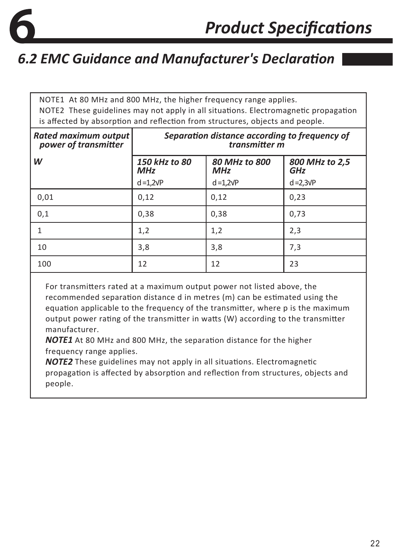![](_page_22_Picture_0.jpeg)

NOTE1 At 80 MHz and 800 MHz, the higher frequency range applies. NOTE2 These guidelines may not apply in all situations. Electromagnetic propagation is affected by absorption and reflection from structures, objects and people.

| Rated maximum output<br>power of transmitter | Separation distance according to frequency of<br>transmitter m                             |                   |                   |  |
|----------------------------------------------|--------------------------------------------------------------------------------------------|-------------------|-------------------|--|
| W                                            | 150 kHz to 80<br>80 MHz to 800<br>800 MHz to 2,5<br><b>GHz</b><br><b>MHz</b><br><b>MHz</b> |                   |                   |  |
|                                              | $d = 1,2\sqrt{P}$                                                                          | $d = 1,2\sqrt{P}$ | $d = 2,3\sqrt{P}$ |  |
| 0,01                                         | 0,12                                                                                       | 0,12              | 0,23              |  |
| 0,1                                          | 0,38                                                                                       | 0,38              | 0,73              |  |
|                                              | 1,2                                                                                        | 1,2               | 2,3               |  |
| 10                                           | 3,8                                                                                        | 3,8               | 7,3               |  |
| 100                                          | 12                                                                                         | 12                | 23                |  |

For transmitters rated at a maximum output power not listed above, the recommended separation distance d in metres (m) can be estimated using the equation applicable to the frequency of the transmitter, where p is the maximum output power rating of the transmitter in watts (W) according to the transmitter manufacturer.

*NOTE1* At 80 MHz and 800 MHz, the separation distance for the higher frequency range applies.

*NOTE2* These guidelines may not apply in all situations. Electromagnetic propagation is affected by absorption and reflection from structures, objects and people.